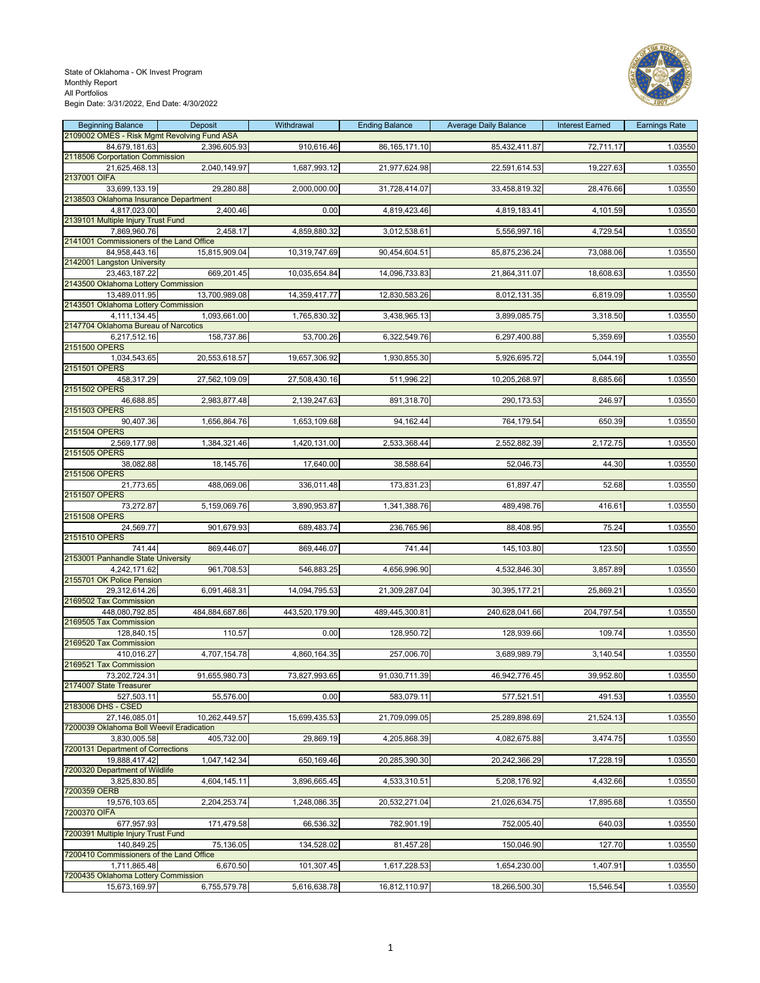# State of Oklahoma - OK Invest Program Monthly Report All Portfolios



Begin Date: 3/31/2022, End Date: 4/30/2022

| <b>Beginning Balance</b>                                     | Deposit        | Withdrawal     | <b>Ending Balance</b> | <b>Average Daily Balance</b> | <b>Interest Earned</b> | <b>Earnings Rate</b> |
|--------------------------------------------------------------|----------------|----------------|-----------------------|------------------------------|------------------------|----------------------|
| 2109002 OMES - Risk Mgmt Revolving Fund ASA<br>84.679.181.63 | 2,396,605.93   | 910,616.46     | 86, 165, 171. 10      | 85,432,411.87                | 72,711.17              | 1.03550              |
| 2118506 Corportation Commission                              |                |                |                       |                              |                        |                      |
| 21,625,468.13                                                | 2,040,149.97   | 1,687,993.12   | 21,977,624.98         | 22,591,614.53                | 19,227.63              | 1.03550              |
| 2137001 OIFA                                                 |                |                |                       |                              |                        |                      |
| 33,699,133.19                                                | 29,280.88      | 2,000,000.00   | 31,728,414.07         | 33,458,819.32                | 28,476.66              | 1.03550              |
| 2138503 Oklahoma Insurance Department                        |                |                |                       |                              |                        |                      |
| 4,817,023.00<br>2139101 Multiple Injury Trust Fund           | 2,400.46       | 0.00           | 4,819,423.46          | 4,819,183.41                 | 4,101.59               | 1.03550              |
| 7,869,960.76                                                 | 2,458.17       | 4,859,880.32   | 3,012,538.61          | 5,556,997.16                 | 4,729.54               | 1.03550              |
| 2141001 Commissioners of the Land Office                     |                |                |                       |                              |                        |                      |
| 84,958,443.16                                                | 15,815,909.04  | 10,319,747.69  | 90,454,604.51         | 85,875,236.24                | 73,088.06              | 1.03550              |
| 2142001 Langston University                                  |                |                |                       |                              |                        |                      |
| 23,463,187.22                                                | 669,201.45     | 10,035,654.84  | 14,096,733.83         | 21,864,311.07                | 18,608.63              | 1.03550              |
| 2143500 Oklahoma Lottery Commission<br>13,489,011.95         | 13,700,989.08  | 14,359,417.77  | 12,830,583.26         | 8,012,131.35                 | 6,819.09               | 1.03550              |
| 2143501 Oklahoma Lottery Commission                          |                |                |                       |                              |                        |                      |
| 4,111,134.45                                                 | 1,093,661.00   | 1,765,830.32   | 3,438,965.13          | 3,899,085.75                 | 3,318.50               | 1.03550              |
| 2147704 Oklahoma Bureau of Narcotics                         |                |                |                       |                              |                        |                      |
| 6,217,512.16                                                 | 158,737.86     | 53,700.26      | 6,322,549.76          | 6,297,400.88                 | 5,359.69               | 1.03550              |
| 2151500 OPERS                                                |                |                |                       |                              |                        |                      |
| 1,034,543.65                                                 | 20,553,618.57  | 19,657,306.92  | 1,930,855.30          | 5,926,695.72                 | 5,044.19               | 1.03550              |
| 2151501 OPERS<br>458,317.29                                  | 27,562,109.09  | 27,508,430.16  | 511,996.22            | 10,205,268.97                | 8,685.66               | 1.03550              |
| 2151502 OPERS                                                |                |                |                       |                              |                        |                      |
| 46,688.85                                                    | 2,983,877.48   | 2,139,247.63   | 891,318.70            | 290, 173.53                  | 246.97                 | 1.03550              |
| 2151503 OPERS                                                |                |                |                       |                              |                        |                      |
| 90,407.36                                                    | 1,656,864.76   | 1,653,109.68   | 94,162.44             | 764,179.54                   | 650.39                 | 1.03550              |
| 2151504 OPERS                                                |                |                |                       |                              |                        |                      |
| 2,569,177.98<br>2151505 OPERS                                | 1,384,321.46   | 1,420,131.00   | 2,533,368.44          | 2,552,882.39                 | 2,172.75               | 1.03550              |
| 38,082.88                                                    | 18,145.76      | 17,640.00      | 38.588.64             | 52.046.73                    | 44.30                  | 1.03550              |
| 2151506 OPERS                                                |                |                |                       |                              |                        |                      |
| 21,773.65                                                    | 488,069.06     | 336,011.48     | 173,831.23            | 61,897.47                    | 52.68                  | 1.03550              |
| 2151507 OPERS                                                |                |                |                       |                              |                        |                      |
| 73,272.87                                                    | 5,159,069.76   | 3,890,953.87   | 1,341,388.76          | 489,498.76                   | 416.61                 | 1.03550              |
| 2151508 OPERS                                                |                |                |                       |                              |                        |                      |
| 24,569.77<br>2151510 OPERS                                   | 901,679.93     | 689,483.74     | 236,765.96            | 88,408.95                    | 75.24                  | 1.03550              |
| 741.44                                                       | 869,446.07     | 869,446.07     | 741.44                | 145,103.80                   | 123.50                 | 1.03550              |
| 2153001 Panhandle State University                           |                |                |                       |                              |                        |                      |
| 4,242,171.62                                                 | 961,708.53     | 546,883.25     | 4,656,996.90          | 4,532,846.30                 | 3,857.89               | 1.03550              |
| 2155701 OK Police Pension                                    |                |                |                       |                              |                        |                      |
| 29,312,614.26                                                | 6,091,468.31   | 14,094,795.53  | 21,309,287.04         | 30,395,177.21                | 25,869.21              | 1.03550              |
| 2169502 Tax Commission                                       |                | 443,520,179.90 |                       |                              | 204,797.54             | 1.03550              |
| 448,080,792.85<br>2169505 Tax Commission                     | 484,884,687.86 |                | 489,445,300.81        | 240,628,041.66               |                        |                      |
| 128,840.15                                                   | 110.57         | 0.00           | 128,950.72            | 128,939.66                   | 109.74                 | 1.03550              |
| 2169520 Tax Commission                                       |                |                |                       |                              |                        |                      |
| 410,016.27                                                   | 4,707,154.78   | 4,860,164.35   | 257,006.70            | 3,689,989.79                 | 3,140.54               | 1.03550              |
| 2169521 Tax Commission                                       |                |                |                       |                              |                        |                      |
| 73,202,724.31                                                | 91,655,980.73  | 73,827,993.65  | 91,030,711.39         | 46,942,776.45                | 39,952.80              | 1.03550              |
| 2174007 State Treasurer<br>527,503.11                        | 55,576.00      | 0.00           | 583,079.11            | 577,521.51                   | 491.53                 | 1.03550              |
| 2183006 DHS - CSED                                           |                |                |                       |                              |                        |                      |
| 27,146,085.01                                                | 10,262,449.57  | 15,699,435.53  | 21,709,099.05         | 25,289,898.69                | 21,524.13              | 1.03550              |
| 7200039 Oklahoma Boll Weevil Eradication                     |                |                |                       |                              |                        |                      |
| 3,830,005.58                                                 | 405,732.00     | 29,869.19      | 4,205,868.39          | 4,082,675.88                 | 3,474.75               | 1.03550              |
| 7200131 Department of Corrections                            |                |                |                       |                              |                        |                      |
| 19,888,417.42<br>7200320 Department of Wildlife              | 1,047,142.34   | 650,169.46     | 20,285,390.30         | 20,242,366.29                | 17,228.19              | 1.03550              |
| 3,825,830.85                                                 | 4,604,145.11   | 3,896,665.45   | 4,533,310.51          | 5,208,176.92                 | 4,432.66               | 1.03550              |
| 7200359 OERB                                                 |                |                |                       |                              |                        |                      |
| 19,576,103.65                                                | 2,204,253.74   | 1,248,086.35   | 20,532,271.04         | 21,026,634.75                | 17,895.68              | 1.03550              |
| 7200370 OIFA                                                 |                |                |                       |                              |                        |                      |
| 677,957.93                                                   | 171,479.58     | 66,536.32      | 782,901.19            | 752,005.40                   | 640.03                 | 1.03550              |
| 7200391 Multiple Injury Trust Fund                           |                |                |                       |                              |                        |                      |
| 140,849.25<br>7200410 Commissioners of the Land Office       | 75,136.05      | 134,528.02     | 81,457.28             | 150,046.90                   | 127.70                 | 1.03550              |
| 1,711,865.48                                                 | 6,670.50       | 101,307.45     | 1,617,228.53          | 1,654,230.00                 | 1,407.91               | 1.03550              |
| 7200435 Oklahoma Lottery Commission                          |                |                |                       |                              |                        |                      |
| 15,673,169.97                                                | 6,755,579.78   | 5,616,638.78   | 16,812,110.97         | 18,266,500.30                | 15,546.54              | 1.03550              |
|                                                              |                |                |                       |                              |                        |                      |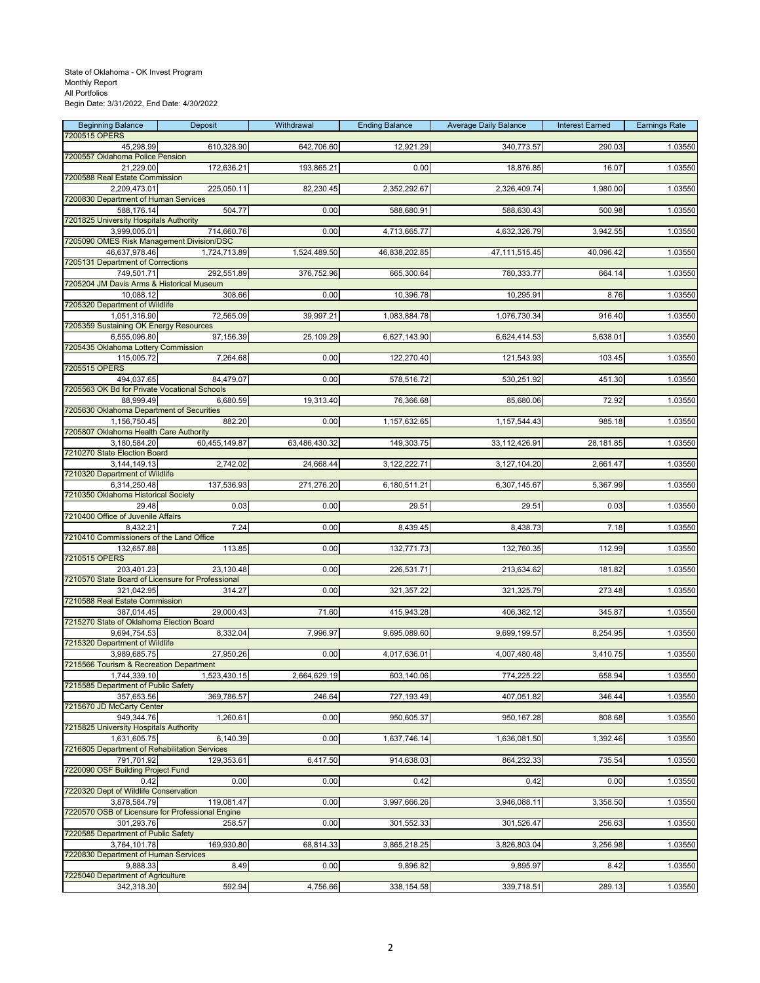| <b>Beginning Balance</b><br>7200515 OPERS                       | Deposit       | Withdrawal    | <b>Ending Balance</b> | <b>Average Daily Balance</b> | <b>Interest Earned</b> | <b>Earnings Rate</b> |
|-----------------------------------------------------------------|---------------|---------------|-----------------------|------------------------------|------------------------|----------------------|
| 45,298.99                                                       | 610,328.90    | 642,706.60    | 12,921.29             | 340,773.57                   | 290.03                 | 1.03550              |
| 7200557 Oklahoma Police Pension                                 |               |               |                       |                              |                        |                      |
| 21,229.00<br>7200588 Real Estate Commission                     | 172,636.21    | 193,865.21    | 0.00                  | 18,876.85                    | 16.07                  | 1.03550              |
| 2,209,473.01                                                    | 225,050.11    | 82,230.45     | 2,352,292.67          | 2,326,409.74                 | 1,980.00               | 1.03550              |
| 7200830 Department of Human Services                            |               |               |                       |                              |                        |                      |
| 588,176.14<br>7201825 University Hospitals Authority            | 504.77        | 0.00          | 588,680.91            | 588,630.43                   | 500.98                 | 1.03550              |
| 3,999,005.01                                                    | 714,660.76    | 0.00          | 4,713,665.77          | 4,632,326.79                 | 3,942.55               | 1.03550              |
| 7205090 OMES Risk Management Division/DSC                       |               |               |                       |                              |                        |                      |
| 46,637,978.46<br>7205131 Department of Corrections              | 1,724,713.89  | 1,524,489.50  | 46,838,202.85         | 47,111,515.45                | 40,096.42              | 1.03550              |
| 749,501.71                                                      | 292,551.89    | 376,752.96    | 665,300.64            | 780,333.77                   | 664.14                 | 1.03550              |
| 7205204 JM Davis Arms & Historical Museum                       |               |               |                       |                              |                        |                      |
| 10,088.12<br>7205320 Department of Wildlife                     | 308.66        | 0.00          | 10,396.78             | 10,295.91                    | 8.76                   | 1.03550              |
| 1,051,316.90                                                    | 72,565.09     | 39,997.21     | 1,083,884.78          | 1,076,730.34                 | 916.40                 | 1.03550              |
| 7205359 Sustaining OK Energy Resources                          |               |               |                       |                              |                        |                      |
| 6,555,096.80<br>7205435 Oklahoma Lottery Commission             | 97,156.39     | 25,109.29     | 6,627,143.90          | 6,624,414.53                 | 5,638.01               | 1.03550              |
| 115,005.72                                                      | 7,264.68      | 0.00          | 122,270.40            | 121,543.93                   | 103.45                 | 1.03550              |
| 7205515 OPERS                                                   |               |               |                       |                              |                        |                      |
| 494,037.65<br>7205563 OK Bd for Private Vocational Schools      | 84,479.07     | 0.00          | 578,516.72            | 530,251.92                   | 451.30                 | 1.03550              |
| 88,999.49                                                       | 6,680.59      | 19,313.40     | 76,366.68             | 85,680.06                    | 72.92                  | 1.03550              |
| 7205630 Oklahoma Department of Securities                       |               |               |                       |                              |                        |                      |
| 1,156,750.45<br>7205807 Oklahoma Health Care Authority          | 882.20        | 0.00          | 1,157,632.65          | 1, 157, 544. 43              | 985.18                 | 1.03550              |
| 3,180,584.20                                                    | 60,455,149.87 | 63,486,430.32 | 149,303.75            | 33,112,426.91                | 28,181.85              | 1.03550              |
| 7210270 State Election Board                                    |               |               |                       |                              |                        |                      |
| 3,144,149.13<br>7210320 Department of Wildlife                  | 2,742.02      | 24,668.44     | 3,122,222.71          | 3,127,104.20                 | 2,661.47               | 1.03550              |
| 6,314,250.48                                                    | 137,536.93    | 271,276.20    | 6,180,511.21          | 6,307,145.67                 | 5,367.99               | 1.03550              |
| 7210350 Oklahoma Historical Society                             |               |               |                       |                              |                        |                      |
| 29.48<br>7210400 Office of Juvenile Affairs                     | 0.03          | 0.00          | 29.51                 | 29.51                        | 0.03                   | 1.03550              |
| 8,432.21                                                        | 7.24          | 0.00          | 8,439.45              | 8,438.73                     | 7.18                   | 1.03550              |
| 7210410 Commissioners of the Land Office                        |               |               |                       |                              |                        |                      |
| 132,657.88<br>7210515 OPERS                                     | 113.85        | 0.00          | 132,771.73            | 132,760.35                   | 112.99                 | 1.03550              |
| 203,401.23                                                      | 23,130.48     | 0.00          | 226,531.71            | 213,634.62                   | 181.82                 | 1.03550              |
| 7210570 State Board of Licensure for Professional<br>321,042.95 |               | 0.00          | 321,357.22            |                              |                        |                      |
| 7210588 Real Estate Commission                                  | 314.27        |               |                       | 321,325.79                   | 273.48                 | 1.03550              |
| 387,014.45                                                      | 29,000.43     | 71.60         | 415,943.28            | 406,382.12                   | 345.87                 | 1.03550              |
| 7215270 State of Oklahoma Election Board<br>9,694,754.53        | 8,332.04      | 7,996.97      | 9,695,089.60          | 9,699,199.57                 | 8,254.95               | 1.03550              |
| 7215320 Department of Wildlife                                  |               |               |                       |                              |                        |                      |
| 3,989,685.75                                                    | 27,950.26     | 0.00          | 4,017,636.01          | 4,007,480.48                 | 3,410.75               | 1.03550              |
| 7215566 Tourism & Recreation Department<br>1,744,339.10         | 1,523,430.15  | 2,664,629.19  | 603,140.06            | 774,225.22                   | 658.94                 | 1.03550              |
| 7215585 Department of Public Safety                             |               |               |                       |                              |                        |                      |
| 357,653.56<br>7215670 JD McCarty Center                         | 369,786.57    | 246.64        | 727,193.49            | 407,051.82                   | 346.44                 | 1.03550              |
| 949,344.76                                                      | 1,260.61      | 0.00          | 950,605.37            | 950,167.28                   | 808.68                 | 1.03550              |
| 7215825 University Hospitals Authority                          |               |               |                       |                              |                        |                      |
| 1,631,605.75<br>7216805 Department of Rehabilitation Services   | 6,140.39      | 0.00          | 1,637,746.14          | 1,636,081.50                 | 1,392.46               | 1.03550              |
| 791,701.92                                                      | 129,353.61    | 6,417.50      | 914,638.03            | 864,232.33                   | 735.54                 | 1.03550              |
| 7220090 OSF Building Project Fund                               |               |               |                       |                              |                        |                      |
| 0.42<br>7220320 Dept of Wildlife Conservation                   | 0.00          | 0.00          | 0.42                  | 0.42                         | 0.00                   | 1.03550              |
| 3,878,584.79                                                    | 119,081.47    | 0.00          | 3,997,666.26          | 3,946,088.11                 | 3,358.50               | 1.03550              |
| 7220570 OSB of Licensure for Professional Engine                |               |               |                       |                              |                        |                      |
| 301.293.76<br>7220585 Department of Public Safety               | 258.57        | 0.00          | 301,552.33            | 301,526.47                   | 256.63                 | 1.03550              |
| 3,764,101.78                                                    | 169,930.80    | 68,814.33     | 3,865,218.25          | 3,826,803.04                 | 3,256.98               | 1.03550              |
| 7220830 Department of Human Services                            |               |               |                       |                              |                        |                      |
| 9,888.33<br>7225040 Department of Agriculture                   | 8.49          | 0.00          | 9,896.82              | 9,895.97                     | 8.42                   | 1.03550              |
| 342,318.30                                                      | 592.94        | 4,756.66      | 338, 154.58           | 339,718.51                   | 289.13                 | 1.03550              |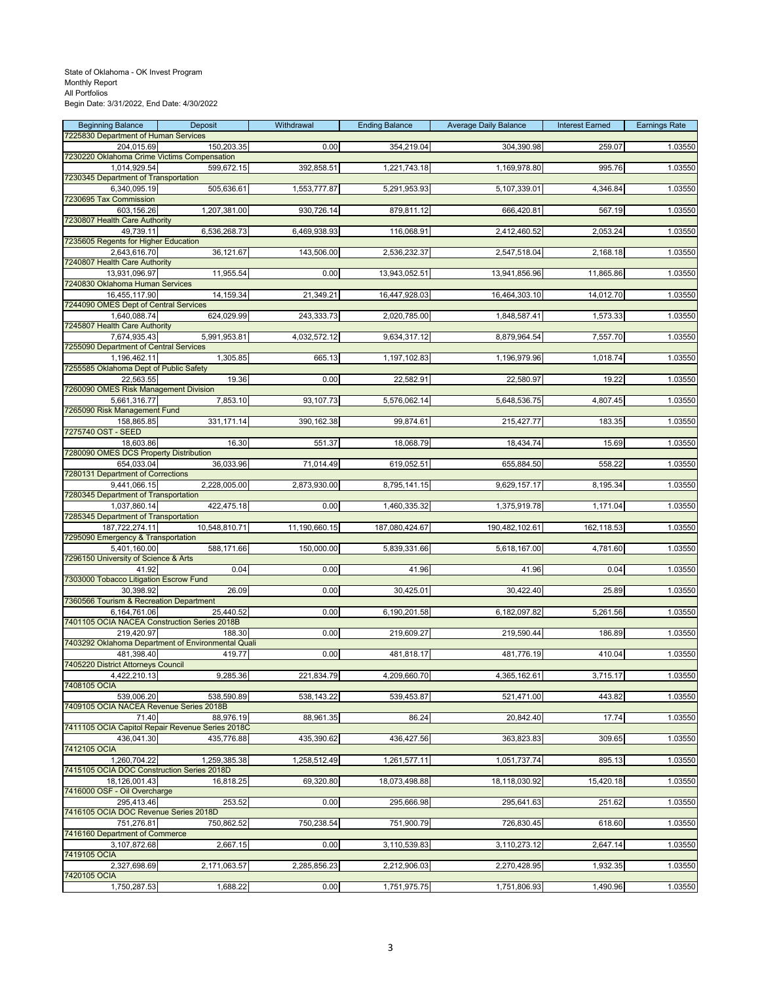## State of Oklahoma - OK Invest Program Monthly Report All Portfolios

Begin Date: 3/31/2022, End Date: 4/30/2022

| <b>Beginning Balance</b>                                    | Deposit       | Withdrawal    | <b>Ending Balance</b> | <b>Average Daily Balance</b> | <b>Interest Earned</b> | <b>Earnings Rate</b> |
|-------------------------------------------------------------|---------------|---------------|-----------------------|------------------------------|------------------------|----------------------|
| 7225830 Department of Human Services                        |               |               |                       |                              |                        |                      |
| 204,015.69<br>7230220 Oklahoma Crime Victims Compensation   | 150,203.35    | 0.00          | 354,219.04            | 304,390.98                   | 259.07                 | 1.03550              |
| 1,014,929.54                                                | 599,672.15    | 392,858.51    | 1,221,743.18          | 1,169,978.80                 | 995.76                 | 1.03550              |
| 7230345 Department of Transportation                        |               |               |                       |                              |                        |                      |
| 6,340,095.19                                                | 505,636.61    | 1,553,777.87  | 5,291,953.93          | 5,107,339.01                 | 4,346.84               | 1.03550              |
| 7230695 Tax Commission                                      | 1,207,381.00  |               |                       |                              |                        | 1.03550              |
| 603,156.26<br>7230807 Health Care Authority                 |               | 930,726.14    | 879,811.12            | 666,420.81                   | 567.19                 |                      |
| 49,739.11                                                   | 6,536,268.73  | 6,469,938.93  | 116,068.91            | 2,412,460.52                 | 2,053.24               | 1.03550              |
| 7235605 Regents for Higher Education                        |               |               |                       |                              |                        |                      |
| 2,643,616.70<br>7240807 Health Care Authority               | 36,121.67     | 143,506.00    | 2,536,232.37          | 2,547,518.04                 | 2,168.18               | 1.03550              |
| 13,931,096.97                                               | 11,955.54     | 0.00          | 13,943,052.51         | 13,941,856.96                | 11,865.86              | 1.03550              |
| 7240830 Oklahoma Human Services                             |               |               |                       |                              |                        |                      |
| 16,455,117.90                                               | 14,159.34     | 21,349.21     | 16,447,928.03         | 16,464,303.10                | 14,012.70              | 1.03550              |
| 7244090 OMES Dept of Central Services                       |               |               |                       |                              |                        |                      |
| 1,640,088.74<br>7245807 Health Care Authority               | 624,029.99    | 243,333.73    | 2,020,785.00          | 1,848,587.41                 | 1,573.33               | 1.03550              |
| 7,674,935.43                                                | 5,991,953.81  | 4,032,572.12  | 9,634,317.12          | 8,879,964.54                 | 7,557.70               | 1.03550              |
| 7255090 Department of Central Services                      |               |               |                       |                              |                        |                      |
| 1,196,462.11                                                | 1,305.85      | 665.13        | 1,197,102.83          | 1,196,979.96                 | 1,018.74               | 1.03550              |
| 7255585 Oklahoma Dept of Public Safety<br>22,563.55         | 19.36         | 0.00          | 22,582.91             | 22,580.97                    | 19.22                  | 1.03550              |
| 7260090 OMES Risk Management Division                       |               |               |                       |                              |                        |                      |
| 5,661,316.77                                                | 7,853.10      | 93,107.73     | 5,576,062.14          | 5,648,536.75                 | 4,807.45               | 1.03550              |
| 7265090 Risk Management Fund                                |               |               |                       |                              |                        |                      |
| 158,865.85                                                  | 331,171.14    | 390,162.38    | 99,874.61             | 215,427.77                   | 183.35                 | 1.03550              |
| 7275740 OST - SEED<br>18,603.86                             | 16.30         | 551.37        | 18,068.79             | 18,434.74                    | 15.69                  | 1.03550              |
| 7280090 OMES DCS Property Distribution                      |               |               |                       |                              |                        |                      |
| 654,033.04                                                  | 36,033.96     | 71,014.49     | 619,052.51            | 655,884.50                   | 558.22                 | 1.03550              |
| 7280131 Department of Corrections                           |               |               |                       |                              |                        |                      |
| 9,441,066.15<br>7280345 Department of Transportation        | 2,228,005.00  | 2,873,930.00  | 8,795,141.15          | 9,629,157.17                 | 8,195.34               | 1.03550              |
| 1,037,860.14                                                | 422,475.18    | 0.00          | 1,460,335.32          | 1,375,919.78                 | 1,171.04               | 1.03550              |
| 7285345 Department of Transportation                        |               |               |                       |                              |                        |                      |
| 187,722,274.11                                              | 10,548,810.71 | 11,190,660.15 | 187,080,424.67        | 190,482,102.61               | 162,118.53             | 1.03550              |
| 7295090 Emergency & Transportation<br>5,401,160.00          |               | 150,000.00    |                       |                              | 4,781.60               | 1.03550              |
| 7296150 University of Science & Arts                        | 588,171.66    |               | 5,839,331.66          | 5,618,167.00                 |                        |                      |
| 41.92                                                       | 0.04          | 0.00          | 41.96                 | 41.96                        | 0.04                   | 1.03550              |
| 7303000 Tobacco Litigation Escrow Fund                      |               |               |                       |                              |                        |                      |
| 30,398.92<br>7360566 Tourism & Recreation Department        | 26.09         | 0.00          | 30,425.01             | 30,422.40                    | 25.89                  | 1.03550              |
| 6,164,761.06                                                | 25,440.52     | 0.00          | 6,190,201.58          | 6,182,097.82                 | 5,261.56               | 1.03550              |
| 7401105 OCIA NACEA Construction Series 2018B                |               |               |                       |                              |                        |                      |
| 219,420.97                                                  | 188.30        | 0.00          | 219,609.27            | 219,590.44                   | 186.89                 | 1.03550              |
| 7403292 Oklahoma Department of Environmental Quali          |               |               |                       |                              |                        |                      |
| 481,398.40<br>7405220 District Attorneys Council            | 419.77        | 0.00          | 481,818.17            | 481,776.19                   | 410.04                 | 1.03550              |
| 4,422,210.13                                                | 9,285.36      | zz1,834.79    | 4,209,660.70          | 4,365,162.61                 | 3,715.17               | 1.03550              |
| 7408105 OCIA                                                |               |               |                       |                              |                        |                      |
| 539.006.20                                                  | 538,590.89    | 538,143.22    | 539,453.87            | 521,471.00                   | 443.82                 | 1.03550              |
| 7409105 OCIA NACEA Revenue Series 2018B<br>71.40            |               | 88,961.35     | 86.24                 |                              | 17.74                  | 1.03550              |
| 7411105 OCIA Capitol Repair Revenue Series 2018C            | 88,976.19     |               |                       | 20,842.40                    |                        |                      |
| 436,041.30                                                  | 435,776.88    | 435,390.62    | 436,427.56            | 363,823.83                   | 309.65                 | 1.03550              |
| 7412105 OCIA                                                |               |               |                       |                              |                        |                      |
| 1,260,704.22                                                | 1,259,385.38  | 1,258,512.49  | 1,261,577.11          | 1,051,737.74                 | 895.13                 | 1.03550              |
| 7415105 OCIA DOC Construction Series 2018D<br>18,126,001.43 | 16,818.25     | 69,320.80     | 18,073,498.88         | 18,118,030.92                | 15,420.18              | 1.03550              |
| 7416000 OSF - Oil Overcharge                                |               |               |                       |                              |                        |                      |
| 295,413.46                                                  | 253.52        | 0.00          | 295,666.98            | 295,641.63                   | 251.62                 | 1.03550              |
| 7416105 OCIA DOC Revenue Series 2018D                       |               |               |                       |                              |                        |                      |
| 751,276.81<br>7416160 Department of Commerce                | 750,862.52    | 750,238.54    | 751,900.79            | 726,830.45                   | 618.60                 | 1.03550              |
| 3,107,872.68                                                | 2,667.15      | 0.00          | 3,110,539.83          | 3,110,273.12                 | 2,647.14               | 1.03550              |
| 7419105 OCIA                                                |               |               |                       |                              |                        |                      |
| 2,327,698.69                                                | 2,171,063.57  | 2,285,856.23  | 2,212,906.03          | 2,270,428.95                 | 1,932.35               | 1.03550              |
| 7420105 OCIA                                                |               |               |                       |                              |                        |                      |
| 1,750,287.53                                                | 1,688.22      | 0.00          | 1,751,975.75          | 1,751,806.93                 | 1,490.96               | 1.03550              |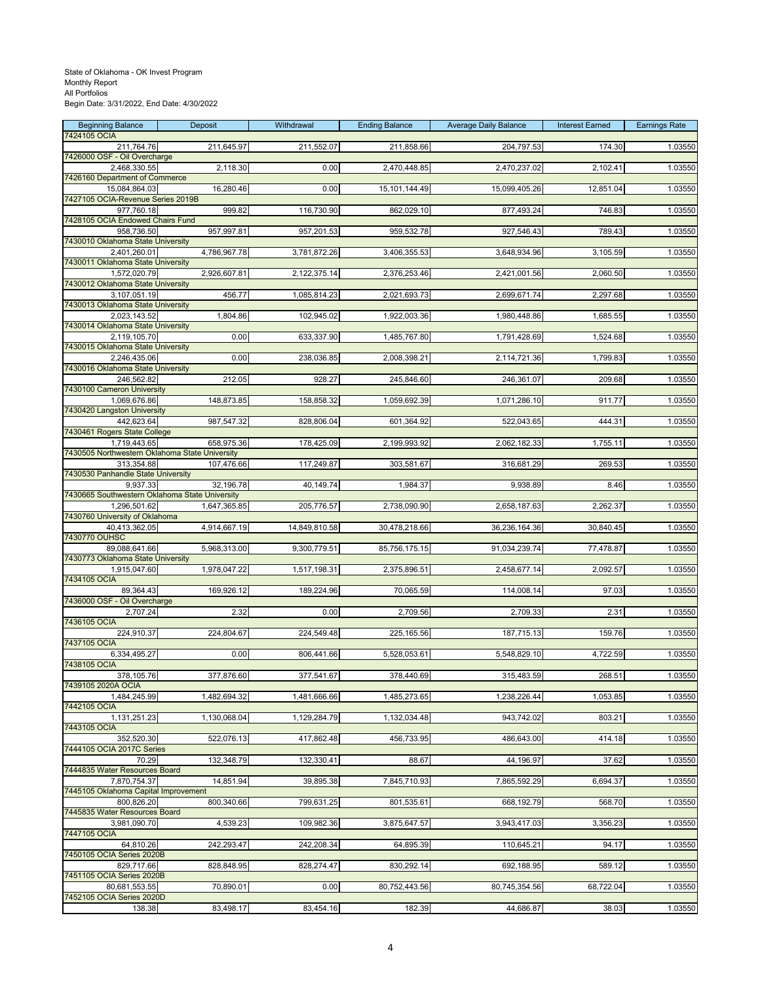| <b>Beginning Balance</b><br>7424105 OCIA                       | Deposit      | Withdrawal    | <b>Ending Balance</b> | <b>Average Daily Balance</b> | <b>Interest Earned</b> | <b>Earnings Rate</b> |
|----------------------------------------------------------------|--------------|---------------|-----------------------|------------------------------|------------------------|----------------------|
| 211,764.76                                                     | 211,645.97   | 211,552.07    | 211,858.66            | 204,797.53                   | 174.30                 | 1.03550              |
| 7426000 OSF - Oil Overcharge<br>2,468,330.55                   | 2,118.30     | 0.00          | 2,470,448.85          | 2,470,237.02                 | 2,102.41               | 1.03550              |
| 7426160 Department of Commerce                                 |              |               |                       |                              |                        |                      |
| 15,084,864.03<br>7427105 OCIA-Revenue Series 2019B             | 16,280.46    | 0.00          | 15,101,144.49         | 15,099,405.26                | 12,851.04              | 1.03550              |
| 977,760.18<br>7428105 OCIA Endowed Chairs Fund                 | 999.82       | 116,730.90    | 862,029.10            | 877,493.24                   | 746.83                 | 1.03550              |
| 958,736.50                                                     | 957,997.81   | 957,201.53    | 959,532.78            | 927,546.43                   | 789.43                 | 1.03550              |
| 7430010 Oklahoma State University<br>2,401,260.01              | 4,786,967.78 | 3,781,872.26  | 3,406,355.53          | 3,648,934.96                 | 3,105.59               | 1.03550              |
| 7430011 Oklahoma State University                              |              |               |                       |                              |                        |                      |
| 1,572,020.79<br>7430012 Oklahoma State University              | 2,926,607.81 | 2,122,375.14  | 2,376,253.46          | 2,421,001.56                 | 2,060.50               | 1.03550              |
| 3,107,051.19                                                   | 456.77       | 1,085,814.23  | 2,021,693.73          | 2,699,671.74                 | 2,297.68               | 1.03550              |
| 7430013 Oklahoma State University<br>2,023,143.52              | 1,804.86     | 102,945.02    | 1,922,003.36          | 1,980,448.86                 | 1,685.55               | 1.03550              |
| 7430014 Oklahoma State University<br>2,119,105.70              | 0.00         |               |                       | 1,791,428.69                 |                        | 1.03550              |
| 7430015 Oklahoma State University                              |              | 633,337.90    | 1,485,767.80          |                              | 1,524.68               |                      |
| 2,246,435.06<br>7430016 Oklahoma State University              | 0.00         | 238,036.85    | 2,008,398.21          | 2,114,721.36                 | 1,799.83               | 1.03550              |
| 246,562.82                                                     | 212.05       | 928.27        | 245,846.60            | 246,361.07                   | 209.68                 | 1.03550              |
| 7430100 Cameron University<br>1,069,676.86                     | 148,873.85   | 158,858.32    | 1,059,692.39          | 1,071,286.10                 | 911.77                 | 1.03550              |
| 7430420 Langston University                                    |              |               |                       |                              |                        |                      |
| 442,623.64<br>7430461 Rogers State College                     | 987,547.32   | 828,806.04    | 601,364.92            | 522,043.65                   | 444.31                 | 1.03550              |
| 1,719,443.65<br>7430505 Northwestern Oklahoma State University | 658,975.36   | 178,425.09    | 2,199,993.92          | 2,062,182.33                 | 1,755.11               | 1.03550              |
| 313,354.88                                                     | 107,476.66   | 117,249.87    | 303,581.67            | 316,681.29                   | 269.53                 | 1.03550              |
| 7430530 Panhandle State University<br>9,937.33                 | 32,196.78    | 40,149.74     | 1,984.37              | 9,938.89                     | 8.46                   | 1.03550              |
| 7430665 Southwestern Oklahoma State University                 |              |               |                       |                              |                        |                      |
| 1,296,501.62<br>7430760 University of Oklahoma                 | 1,647,365.85 | 205,776.57    | 2,738,090.90          | 2,658,187.63                 | 2,262.37               | 1.03550              |
| 40,413,362.05                                                  | 4,914,667.19 | 14,849,810.58 | 30,478,218.66         | 36,236,164.36                | 30,840.45              | 1.03550              |
| 7430770 OUHSC<br>89,088,641.66                                 | 5,968,313.00 | 9,300,779.51  | 85,756,175.15         | 91,034,239.74                | 77,478.87              | 1.03550              |
| 7430773 Oklahoma State University<br>1,915,047.60              | 1,978,047.22 | 1,517,198.31  | 2,375,896.51          | 2,458,677.14                 | 2,092.57               | 1.03550              |
| 7434105 OCIA                                                   |              |               |                       |                              |                        |                      |
| 89,364.43<br>7436000 OSF - Oil Overcharge                      | 169,926.12   | 189,224.96    | 70,065.59             | 114,008.14                   | 97.03                  | 1.03550              |
| 2,707.24                                                       | 2.32         | 0.00          | 2,709.56              | 2,709.33                     | 2.31                   | 1.03550              |
| 7436105 OCIA<br>224,910.37                                     | 224,804.67   | 224,549.48    | 225,165.56            | 187,715.13                   | 159.76                 | 1.03550              |
| 7437105 OCIA<br>6,334,495.27                                   |              |               |                       |                              | 4,722.59               | 1.03550              |
| 7438105 OCIA                                                   | 0.00         | 806,441.66    | 5,528,053.61          | 5,548,829.10                 |                        |                      |
| 378,105.76<br>7439105 2020A OCIA                               | 377,876.60   | 377,541.67    | 378,440.69            | 315,483.59                   | 268.51                 | 1.03550              |
| 1,484,245.99                                                   | 1,482,694.32 | 1,481,666.66  | 1,485,273.65          | 1,238,226.44                 | 1,053.85               | 1.03550              |
| 7442105 OCIA<br>1,131,251.23                                   | 1,130,068.04 | 1,129,284.79  | 1,132,034.48          | 943,742.02                   | 803.21                 | 1.03550              |
| 7443105 OCIA                                                   |              |               |                       |                              |                        |                      |
| 352,520.30<br>7444105 OCIA 2017C Series                        | 522,076.13   | 417,862.48    | 456,733.95            | 486,643.00                   | 414.18                 | 1.03550              |
| 70.29<br>7444835 Water Resources Board                         | 132,348.79   | 132,330.41    | 88.67                 | 44,196.97                    | 37.62                  | 1.03550              |
| 7,870,754.37                                                   | 14,851.94    | 39,895.38     | 7,845,710.93          | 7,865,592.29                 | 6,694.37               | 1.03550              |
| 7445105 Oklahoma Capital Improvement<br>800,826.20             | 800,340.66   | 799,631.25    | 801,535.61            | 668,192.79                   | 568.70                 | 1.03550              |
| 7445835 Water Resources Board                                  |              |               |                       |                              |                        |                      |
| 3.981.090.70<br>7447105 OCIA                                   | 4,539.23     | 109,982.36    | 3,875,647.57          | 3,943,417.03                 | 3,356.23               | 1.03550              |
| 64,810.26<br>7450105 OCIA Series 2020B                         | 242,293.47   | 242,208.34    | 64,895.39             | 110,645.21                   | 94.17                  | 1.03550              |
| 829,717.66                                                     | 828,848.95   | 828,274.47    | 830,292.14            | 692,188.95                   | 589.12                 | 1.03550              |
| 7451105 OCIA Series 2020B<br>80,681,553.55                     | 70,890.01    | 0.00          | 80,752,443.56         | 80,745,354.56                | 68,722.04              | 1.03550              |
| 7452105 OCIA Series 2020D                                      |              |               |                       |                              |                        |                      |
| 138.38                                                         | 83,498.17    | 83,454.16     | 182.39                | 44,686.87                    | 38.03                  | 1.03550              |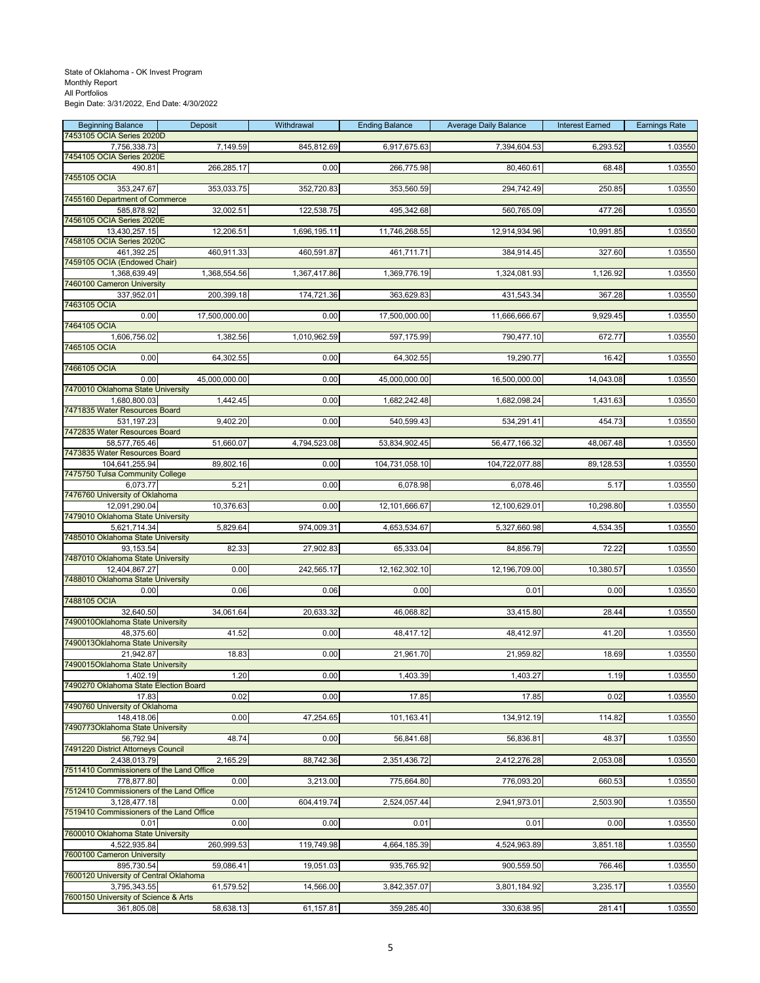| <b>Beginning Balance</b>                                 | Deposit       | Withdrawal   | <b>Ending Balance</b> | <b>Average Daily Balance</b> | <b>Interest Earned</b> | <b>Earnings Rate</b> |
|----------------------------------------------------------|---------------|--------------|-----------------------|------------------------------|------------------------|----------------------|
| 7453105 OCIA Series 2020D<br>7,756,338.73                | 7,149.59      | 845,812.69   | 6,917,675.63          | 7,394,604.53                 | 6,293.52               | 1.03550              |
| 7454105 OCIA Series 2020E                                |               |              |                       |                              |                        |                      |
| 490.81<br>7455105 OCIA                                   | 266,285.17    | 0.00         | 266,775.98            | 80,460.61                    | 68.48                  | 1.03550              |
| 353,247.67                                               | 353,033.75    | 352,720.83   | 353,560.59            | 294,742.49                   | 250.85                 | 1.03550              |
| 7455160 Department of Commerce<br>585,878.92             | 32,002.51     | 122,538.75   | 495,342.68            | 560,765.09                   | 477.26                 | 1.03550              |
| 7456105 OCIA Series 2020E                                |               |              |                       |                              |                        |                      |
| 13,430,257.15<br>7458105 OCIA Series 2020C               | 12,206.51     | 1,696,195.11 | 11,746,268.55         | 12,914,934.96                | 10,991.85              | 1.03550              |
| 461,392.25                                               | 460,911.33    | 460,591.87   | 461,711.71            | 384,914.45                   | 327.60                 | 1.03550              |
| 7459105 OCIA (Endowed Chair)<br>1,368,639.49             | 1,368,554.56  | 1,367,417.86 | 1,369,776.19          | 1,324,081.93                 | 1,126.92               | 1.03550              |
| 7460100 Cameron University                               |               |              |                       |                              |                        |                      |
| 337,952.01<br>7463105 OCIA                               | 200,399.18    | 174,721.36   | 363,629.83            | 431,543.34                   | 367.28                 | 1.03550              |
| 0.00                                                     | 17,500,000.00 | 0.00         | 17,500,000.00         | 11,666,666.67                | 9,929.45               | 1.03550              |
| 7464105 OCIA<br>1,606,756.02                             | 1,382.56      | 1,010,962.59 | 597,175.99            | 790,477.10                   | 672.77                 | 1.03550              |
| 7465105 OCIA                                             |               |              |                       |                              |                        |                      |
| 0.00<br>7466105 OCIA                                     | 64,302.55     | 0.00         | 64,302.55             | 19,290.77                    | 16.42                  | 1.03550              |
| 0.00                                                     | 45,000,000.00 | 0.00         | 45,000,000.00         | 16,500,000.00                | 14,043.08              | 1.03550              |
| 7470010 Oklahoma State University<br>1,680,800.03        | 1,442.45      | 0.00         | 1,682,242.48          | 1,682,098.24                 | 1,431.63               | 1.03550              |
| 7471835 Water Resources Board                            |               |              |                       |                              |                        |                      |
| 531,197.23<br>7472835 Water Resources Board              | 9,402.20      | 0.00         | 540,599.43            | 534,291.41                   | 454.73                 | 1.03550              |
| 58,577,765.46                                            | 51,660.07     | 4,794,523.08 | 53,834,902.45         | 56,477,166.32                | 48,067.48              | 1.03550              |
| 7473835 Water Resources Board<br>104,641,255.94          | 89,802.16     | 0.00         | 104,731,058.10        | 104,722,077.88               | 89,128.53              | 1.03550              |
| 7475750 Tulsa Community College                          |               |              |                       |                              |                        |                      |
| 6,073.77<br>7476760 University of Oklahoma               | 5.21          | 0.00         | 6,078.98              | 6,078.46                     | 5.17                   | 1.03550              |
| 12,091,290.04                                            | 10,376.63     | 0.00         | 12,101,666.67         | 12,100,629.01                | 10,298.80              | 1.03550              |
| 7479010 Oklahoma State University<br>5,621,714.34        | 5,829.64      | 974,009.31   | 4,653,534.67          | 5,327,660.98                 | 4,534.35               | 1.03550              |
| 7485010 Oklahoma State University                        |               |              |                       |                              |                        |                      |
| 93,153.54<br>7487010 Oklahoma State University           | 82.33         | 27,902.83    | 65,333.04             | 84,856.79                    | 72.22                  | 1.03550              |
| 12,404,867.27                                            | 0.00          | 242,565.17   | 12,162,302.10         | 12,196,709.00                | 10,380.57              | 1.03550              |
| 7488010 Oklahoma State University<br>0.00                | 0.06          | 0.06         | 0.00                  | 0.01                         | 0.00                   | 1.03550              |
| 7488105 OCIA                                             |               |              |                       |                              |                        |                      |
| 32,640.50<br>7490010Oklahoma State University            | 34,061.64     | 20,633.32    | 46,068.82             | 33,415.80                    | 28.44                  | 1.03550              |
| 48,375.60<br>7490013Oklahoma State University            | 41.52         | 0.00         | 48,417.12             | 48,412.97                    | 41.20                  | 1.03550              |
| 21.942.87                                                | 18.83         | 0.00         | 21,961.70             | 21,959.82                    | 18.69                  | 1.03550              |
| 7490015Oklahoma State University                         |               |              |                       |                              |                        |                      |
| 1,402.19<br>7490270 Oklahoma State Election Board        | 1.20          | 0.00         | 1,403.39              | 1,403.27                     | 1.19                   | 1.03550              |
| 17.83<br>7490760 University of Oklahoma                  | 0.02          | 0.00         | 17.85                 | 17.85                        | 0.02                   | 1.03550              |
| 148,418.06                                               | 0.00          | 47,254.65    | 101,163.41            | 134,912.19                   | 114.82                 | 1.03550              |
| 7490773Oklahoma State University                         |               |              |                       |                              |                        |                      |
| 56,792.94<br>7491220 District Attorneys Council          | 48.74         | 0.00         | 56,841.68             | 56,836.81                    | 48.37                  | 1.03550              |
| 2,438,013.79                                             | 2,165.29      | 88,742.36    | 2,351,436.72          | 2,412,276.28                 | 2,053.08               | 1.03550              |
| 7511410 Commissioners of the Land Office<br>778,877.80   | 0.00          | 3,213.00     | 775,664.80            | 776,093.20                   | 660.53                 | 1.03550              |
| 7512410 Commissioners of the Land Office                 |               |              |                       |                              |                        |                      |
| 3,128,477.18<br>7519410 Commissioners of the Land Office | 0.00          | 604,419.74   | 2,524,057.44          | 2,941,973.01                 | 2,503.90               | 1.03550              |
| 0.01<br>7600010 Oklahoma State University                | 0.00          | 0.00         | 0.01                  | 0.01                         | 0.00                   | 1.03550              |
| 4,522,935.84                                             | 260,999.53    | 119,749.98   | 4,664,185.39          | 4,524,963.89                 | 3,851.18               | 1.03550              |
| 7600100 Cameron University<br>895,730.54                 |               | 19,051.03    | 935,765.92            | 900,559.50                   | 766.46                 |                      |
| 7600120 University of Central Oklahoma                   | 59,086.41     |              |                       |                              |                        | 1.03550              |
| 3,795,343.55                                             | 61,579.52     | 14,566.00    | 3,842,357.07          | 3,801,184.92                 | 3,235.17               | 1.03550              |
| 7600150 University of Science & Arts<br>361,805.08       | 58,638.13     | 61,157.81    | 359,285.40            | 330,638.95                   | 281.41                 | 1.03550              |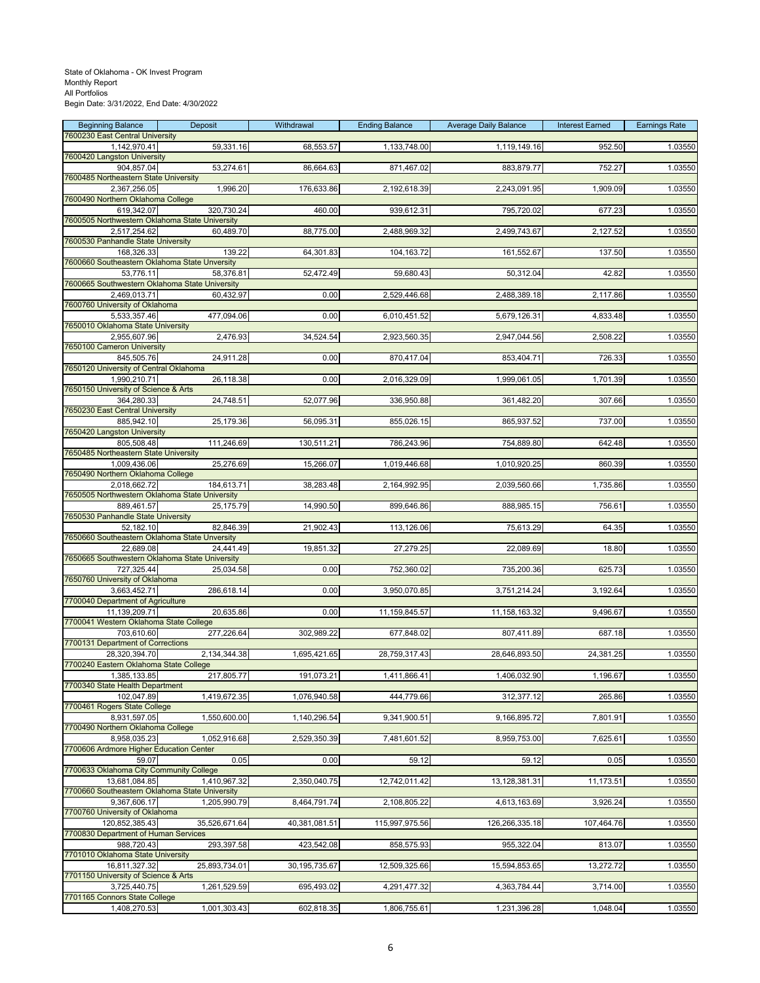| <b>Beginning Balance</b>                                        | Deposit       | Withdrawal    | <b>Ending Balance</b> | <b>Average Daily Balance</b> | <b>Interest Earned</b> | <b>Earnings Rate</b> |
|-----------------------------------------------------------------|---------------|---------------|-----------------------|------------------------------|------------------------|----------------------|
| 7600230 East Central University<br>1,142,970.41                 | 59,331.16     | 68,553.57     | 1,133,748.00          | 1,119,149.16                 | 952.50                 | 1.03550              |
| 7600420 Langston University                                     |               |               |                       |                              |                        |                      |
| 904,857.04                                                      | 53,274.61     | 86,664.63     | 871,467.02            | 883,879.77                   | 752.27                 | 1.03550              |
| 7600485 Northeastern State University<br>2,367,256.05           | 1,996.20      | 176,633.86    | 2,192,618.39          | 2,243,091.95                 | 1,909.09               | 1.03550              |
| 7600490 Northern Oklahoma College                               |               |               |                       |                              |                        |                      |
| 619,342.07                                                      | 320,730.24    | 460.00        | 939,612.31            | 795,720.02                   | 677.23                 | 1.03550              |
| 7600505 Northwestern Oklahoma State University<br>2,517,254.62  | 60,489.70     | 88,775.00     | 2,488,969.32          | 2,499,743.67                 | 2,127.52               | 1.03550              |
| 7600530 Panhandle State University                              |               |               |                       |                              |                        |                      |
| 168,326.33                                                      | 139.22        | 64,301.83     | 104, 163. 72          | 161,552.67                   | 137.50                 | 1.03550              |
| 7600660 Southeastern Oklahoma State Unversity<br>53,776.11      | 58,376.81     | 52,472.49     | 59,680.43             | 50,312.04                    | 42.82                  | 1.03550              |
| 7600665 Southwestern Oklahoma State University                  |               |               |                       |                              |                        |                      |
| 2.469.013.71                                                    | 60,432.97     | 0.00          | 2,529,446.68          | 2,488,389.18                 | 2,117.86               | 1.03550              |
| 7600760 University of Oklahoma<br>5,533,357.46                  | 477,094.06    | 0.00          | 6,010,451.52          | 5,679,126.31                 | 4,833.48               | 1.03550              |
| 7650010 Oklahoma State University                               |               |               |                       |                              |                        |                      |
| 2,955,607.96                                                    | 2,476.93      | 34,524.54     | 2,923,560.35          | 2,947,044.56                 | 2,508.22               | 1.03550              |
| 7650100 Cameron University<br>845,505.76                        | 24,911.28     | 0.00          | 870,417.04            | 853,404.71                   | 726.33                 | 1.03550              |
| 7650120 University of Central Oklahoma                          |               |               |                       |                              |                        |                      |
| 1,990,210.71                                                    | 26,118.38     | 0.00          | 2,016,329.09          | 1,999,061.05                 | 1,701.39               | 1.03550              |
| 7650150 University of Science & Arts<br>364.280.33              | 24,748.51     | 52,077.96     | 336,950.88            | 361,482.20                   | 307.66                 | 1.03550              |
| 7650230 East Central University                                 |               |               |                       |                              |                        |                      |
| 885,942.10                                                      | 25,179.36     | 56,095.31     | 855,026.15            | 865,937.52                   | 737.00                 | 1.03550              |
| 7650420 Langston University<br>805,508.48                       | 111,246.69    | 130,511.21    | 786,243.96            | 754,889.80                   | 642.48                 | 1.03550              |
| 7650485 Northeastern State University                           |               |               |                       |                              |                        |                      |
| 1,009,436.06                                                    | 25,276.69     | 15,266.07     | 1,019,446.68          | 1,010,920.25                 | 860.39                 | 1.03550              |
| 7650490 Northern Oklahoma College                               |               |               |                       |                              |                        |                      |
| 2,018,662.72<br>7650505 Northwestern Oklahoma State University  | 184,613.71    | 38,283.48     | 2,164,992.95          | 2,039,560.66                 | 1,735.86               | 1.03550              |
| 889,461.57                                                      | 25,175.79     | 14,990.50     | 899,646.86            | 888,985.15                   | 756.61                 | 1.03550              |
| 7650530 Panhandle State University                              | 82,846.39     |               |                       |                              |                        |                      |
| 52,182.10<br>7650660 Southeastern Oklahoma State Unversity      |               | 21,902.43     | 113,126.06            | 75,613.29                    | 64.35                  | 1.03550              |
| 22,689.08                                                       | 24,441.49     | 19,851.32     | 27,279.25             | 22,089.69                    | 18.80                  | 1.03550              |
| 7650665 Southwestern Oklahoma State University                  |               | 0.00          |                       |                              |                        |                      |
| 727,325.44<br>7650760 University of Oklahoma                    | 25,034.58     |               | 752,360.02            | 735,200.36                   | 625.73                 | 1.03550              |
| 3,663,452.71                                                    | 286,618.14    | 0.00          | 3,950,070.85          | 3,751,214.24                 | 3,192.64               | 1.03550              |
| 7700040 Department of Agriculture                               |               |               |                       |                              |                        |                      |
| 11,139,209.71<br>7700041 Western Oklahoma State College         | 20,635.86     | 0.00          | 11,159,845.57         | 11,158,163.32                | 9,496.67               | 1.03550              |
| 703,610.60                                                      | 277,226.64    | 302,989.22    | 677,848.02            | 807,411.89                   | 687.18                 | 1.03550              |
| 7700131 Department of Corrections                               |               |               |                       |                              |                        |                      |
| 28,320,394.70<br>7700240 Eastern Oklahoma State College         | 2,134,344.38  | 1,695,421.65  | 28,759,317.43         | 28,646,893.50                | 24,381.25              | 1.03550              |
| 1,385,133.85                                                    | 217,805.77    | 191,073.21    | 1,411,866.41          | 1,406,032.90                 | 1,196.67               | 1.03550              |
| 7700340 State Health Department                                 |               |               |                       |                              |                        |                      |
| 102,047.89<br>7700461 Rogers State College                      | 1,419,672.35  | 1,076,940.58  | 444,779.66            | 312,377.12                   | 265.86                 | 1.03550              |
| 8,931,597.05                                                    | 1,550,600.00  | 1,140,296.54  | 9,341,900.51          | 9,166,895.72                 | 7,801.91               | 1.03550              |
| 7700490 Northern Oklahoma College                               |               |               |                       |                              |                        |                      |
| 8,958,035.23<br>7700606 Ardmore Higher Education Center         | 1,052,916.68  | 2,529,350.39  | 7,481,601.52          | 8,959,753.00                 | 7,625.61               | 1.03550              |
| 59.07                                                           | 0.05          | 0.00          | 59.12                 | 59.12                        | 0.05                   | 1.03550              |
| 7700633 Oklahoma City Community College                         |               |               |                       |                              |                        |                      |
| 13.681.084.85<br>7700660 Southeastern Oklahoma State University | 1,410,967.32  | 2,350,040.75  | 12,742,011.42         | 13,128,381.31                | 11,173.51              | 1.03550              |
| 9,367,606.17                                                    | 1,205,990.79  | 8,464,791.74  | 2,108,805.22          | 4,613,163.69                 | 3,926.24               | 1.03550              |
| 7700760 University of Oklahoma                                  |               |               |                       |                              |                        |                      |
| 120,852,385.43<br>7700830 Department of Human Services          | 35,526,671.64 | 40,381,081.51 | 115,997,975.56        | 126,266,335.18               | 107,464.76             | 1.03550              |
| 988,720.43                                                      | 293,397.58    | 423,542.08    | 858,575.93            | 955,322.04                   | 813.07                 | 1.03550              |
| 7701010 Oklahoma State University                               |               |               |                       |                              |                        |                      |
| 16,811,327.32<br>7701150 University of Science & Arts           | 25,893,734.01 | 30,195,735.67 | 12,509,325.66         | 15,594,853.65                | 13,272.72              | 1.03550              |
| 3,725,440.75                                                    | 1,261,529.59  | 695,493.02    | 4,291,477.32          | 4,363,784.44                 | 3,714.00               | 1.03550              |
| 7701165 Connors State College                                   |               |               |                       |                              |                        |                      |
| 1,408,270.53                                                    | 1,001,303.43  | 602,818.35    | 1,806,755.61          | 1,231,396.28                 | 1,048.04               | 1.03550              |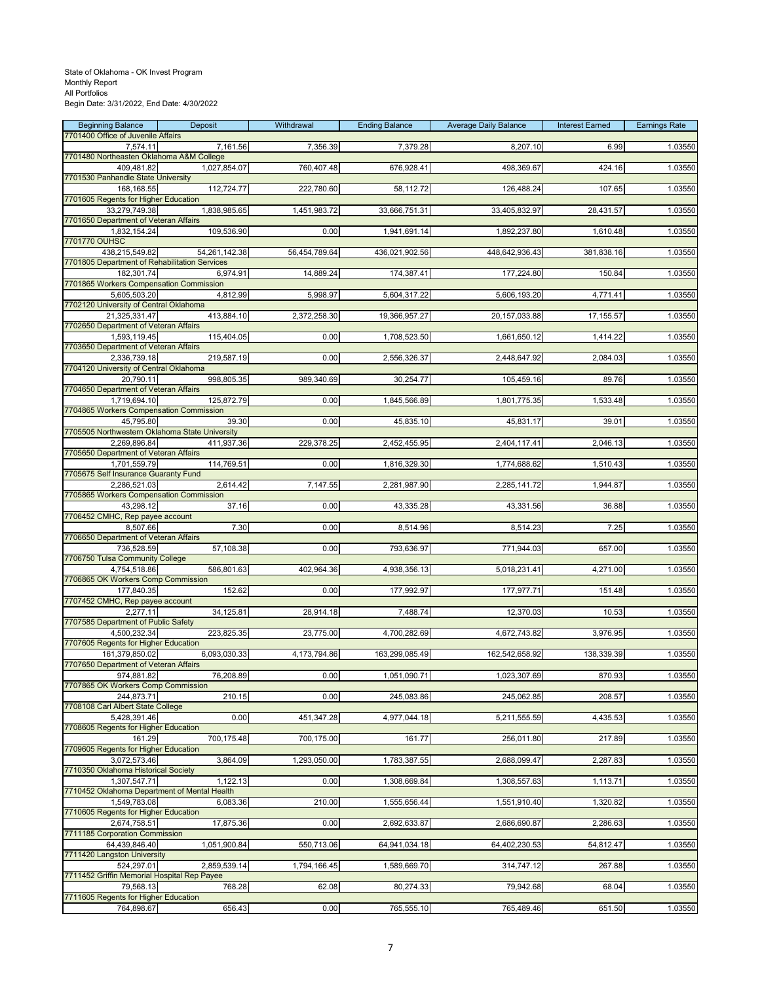| <b>Beginning Balance</b><br>7701400 Office of Juvenile Affairs | Deposit       | Withdrawal    | <b>Ending Balance</b> | <b>Average Daily Balance</b> | <b>Interest Earned</b> | <b>Earnings Rate</b> |
|----------------------------------------------------------------|---------------|---------------|-----------------------|------------------------------|------------------------|----------------------|
| 7,574.11                                                       | 7,161.56      | 7,356.39      | 7,379.28              | 8,207.10                     | 6.99                   | 1.03550              |
| 7701480 Northeasten Oklahoma A&M College                       |               |               |                       |                              |                        |                      |
| 409,481.82<br>7701530 Panhandle State University               | 1,027,854.07  | 760,407.48    | 676,928.41            | 498,369.67                   | 424.16                 | 1.03550              |
| 168,168.55                                                     | 112,724.77    | 222,780.60    | 58,112.72             | 126,488.24                   | 107.65                 | 1.03550              |
| 7701605 Regents for Higher Education<br>33,279,749.38          | 1,838,985.65  | 1,451,983.72  | 33,666,751.31         | 33,405,832.97                | 28,431.57              | 1.03550              |
| 7701650 Department of Veteran Affairs                          |               |               |                       |                              |                        |                      |
| 1,832,154.24<br>7701770 OUHSC                                  | 109,536.90    | 0.00          | 1,941,691.14          | 1,892,237.80                 | 1,610.48               | 1.03550              |
| 438,215,549.82                                                 | 54,261,142.38 | 56,454,789.64 | 436,021,902.56        | 448,642,936.43               | 381,838.16             | 1.03550              |
| 7701805 Department of Rehabilitation Services<br>182,301.74    | 6,974.91      | 14,889.24     | 174,387.41            | 177,224.80                   | 150.84                 | 1.03550              |
| 7701865 Workers Compensation Commission                        |               |               |                       |                              |                        |                      |
| 5,605,503.20                                                   | 4,812.99      | 5,998.97      | 5,604,317.22          | 5,606,193.20                 | 4,771.41               | 1.03550              |
| 7702120 University of Central Oklahoma<br>21,325,331.47        | 413,884.10    | 2,372,258.30  | 19,366,957.27         | 20, 157, 033.88              | 17,155.57              | 1.03550              |
| 7702650 Department of Veteran Affairs                          |               |               |                       |                              |                        |                      |
| 1,593,119.45<br>7703650 Department of Veteran Affairs          | 115,404.05    | 0.00          | 1,708,523.50          | 1,661,650.12                 | 1,414.22               | 1.03550              |
| 2,336,739.18                                                   | 219,587.19    | 0.00          | 2,556,326.37          | 2,448,647.92                 | 2,084.03               | 1.03550              |
| 7704120 University of Central Oklahoma<br>20,790.11            | 998,805.35    | 989,340.69    | 30,254.77             | 105,459.16                   | 89.76                  | 1.03550              |
| 7704650 Department of Veteran Affairs                          |               |               |                       |                              |                        |                      |
| 1,719,694.10<br>7704865 Workers Compensation Commission        | 125,872.79    | 0.00          | 1,845,566.89          | 1,801,775.35                 | 1,533.48               | 1.03550              |
| 45,795.80                                                      | 39.30         | 0.00          | 45,835.10             | 45,831.17                    | 39.01                  | 1.03550              |
| 7705505 Northwestern Oklahoma State University                 |               |               |                       |                              |                        |                      |
| 2,269,896.84<br>7705650 Department of Veteran Affairs          | 411,937.36    | 229,378.25    | 2,452,455.95          | 2,404,117.41                 | 2,046.13               | 1.03550              |
| 1,701,559.79                                                   | 114,769.51    | 0.00          | 1,816,329.30          | 1,774,688.62                 | 1,510.43               | 1.03550              |
| 7705675 Self Insurance Guaranty Fund<br>2,286,521.03           | 2,614.42      | 7,147.55      | 2,281,987.90          | 2,285,141.72                 | 1,944.87               | 1.03550              |
| 7705865 Workers Compensation Commission                        |               |               |                       |                              |                        |                      |
| 43,298.12<br>7706452 CMHC, Rep payee account                   | 37.16         | 0.00          | 43,335.28             | 43,331.56                    | 36.88                  | 1.03550              |
| 8,507.66                                                       | 7.30          | 0.00          | 8,514.96              | 8,514.23                     | 7.25                   | 1.03550              |
| 7706650 Department of Veteran Affairs<br>736,528.59            | 57,108.38     | 0.00          | 793,636.97            | 771,944.03                   | 657.00                 | 1.03550              |
| 7706750 Tulsa Community College                                |               |               |                       |                              |                        |                      |
| 4,754,518.86                                                   | 586,801.63    | 402,964.36    | 4,938,356.13          | 5,018,231.41                 | 4,271.00               | 1.03550              |
| 7706865 OK Workers Comp Commission<br>177,840.35               | 152.62        | 0.00          | 177,992.97            | 177,977.71                   | 151.48                 | 1.03550              |
| 7707452 CMHC, Rep payee account                                |               |               |                       |                              |                        |                      |
| 2,277.11<br>7707585 Department of Public Safety                | 34,125.81     | 28,914.18     | 7,488.74              | 12,370.03                    | 10.53                  | 1.03550              |
| 4,500,232.34                                                   | 223,825.35    | 23,775.00     | 4,700,282.69          | 4,672,743.82                 | 3,976.95               | 1.03550              |
| 7707605 Regents for Higher Education<br>161,379,850.02         | 6,093,030.33  | 4,173,794.86  | 163,299,085.49        | 162,542,658.92               | 138,339.39             | 1.03550              |
| 7707650 Department of Veteran Affairs                          |               |               |                       |                              |                        |                      |
| 974,881.82<br>7707865 OK Workers Comp Commission               | 76,208.89     | 0.00          | 1,051,090.71          | 1,023,307.69                 | 870.93                 | 1.03550              |
| 244,873.71                                                     | 210.15        | 0.00          | 245,083.86            | 245,062.85                   | 208.57                 | 1.03550              |
| 7708108 Carl Albert State College<br>5,428,391.46              | 0.00          | 451,347.28    | 4,977,044.18          | 5,211,555.59                 | 4,435.53               | 1.03550              |
| 7708605 Regents for Higher Education                           |               |               |                       |                              |                        |                      |
| 161.29<br>7709605 Regents for Higher Education                 | 700,175.48    | 700,175.00    | 161.77                | 256,011.80                   | 217.89                 | 1.03550              |
| 3,072,573.46                                                   | 3,864.09      | 1,293,050.00  | 1,783,387.55          | 2,688,099.47                 | 2,287.83               | 1.03550              |
| 7710350 Oklahoma Historical Society                            |               |               |                       |                              |                        |                      |
| 1,307,547.71<br>7710452 Oklahoma Department of Mental Health   | 1,122.13      | 0.00          | 1,308,669.84          | 1,308,557.63                 | 1,113.71               | 1.03550              |
| 1,549,783.08                                                   | 6,083.36      | 210.00        | 1,555,656.44          | 1,551,910.40                 | 1,320.82               | 1.03550              |
| 7710605 Regents for Higher Education<br>2,674,758.51           | 17,875.36     | 0.00          | 2,692,633.87          | 2,686,690.87                 | 2,286.63               | 1.03550              |
| 7711185 Corporation Commission                                 |               |               |                       |                              |                        |                      |
| 64,439,846.40<br>7711420 Langston University                   | 1,051,900.84  | 550,713.06    | 64,941,034.18         | 64,402,230.53                | 54,812.47              | 1.03550              |
| 524,297.01                                                     | 2,859,539.14  | 1,794,166.45  | 1,589,669.70          | 314,747.12                   | 267.88                 | 1.03550              |
| 7711452 Griffin Memorial Hospital Rep Payee<br>79,568.13       |               | 62.08         | 80,274.33             | 79,942.68                    | 68.04                  |                      |
| 7711605 Regents for Higher Education                           | 768.28        |               |                       |                              |                        | 1.03550              |
| 764,898.67                                                     | 656.43        | 0.00          | 765,555.10            | 765,489.46                   | 651.50                 | 1.03550              |